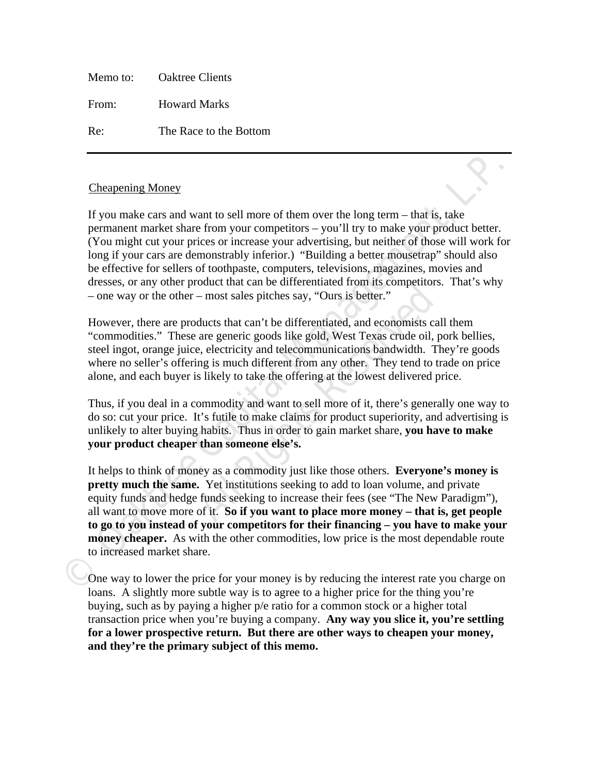Memo to: Oaktree Clients From: Howard Marks Re: The Race to the Bottom

## Cheapening Money

**Cheapening Money**<br> **Cheapening Money**<br> **If** you make cars and want to sell more of them over the long term – that is, take<br>
permanent market share from your competitors — you I try to make your product better.<br>
CVou might If you make cars and want to sell more of them over the long term – that is, take permanent market share from your competitors – you'll try to make your product better. (You might cut your prices or increase your advertising, but neither of those will work for long if your cars are demonstrably inferior.) "Building a better mousetrap" should also be effective for sellers of toothpaste, computers, televisions, magazines, movies and dresses, or any other product that can be differentiated from its competitors. That's why – one way or the other – most sales pitches say, "Ours is better."

but that can be direct<br>and four is competitors<br>- most sales pitches say, "Ours is better."<br>ducts that can't be differentiated, and economists cal<br>are generic goods like gold, West Texas crude oil, p<br>e, electricity and tele However, there are products that can't be differentiated, and economists call them "commodities." These are generic goods like gold, West Texas crude oil, pork bellies, steel ingot, orange juice, electricity and telecommunications bandwidth. They're goods where no seller's offering is much different from any other. They tend to trade on price alone, and each buyer is likely to take the offering at the lowest delivered price.

Thus, if you deal in a commodity and want to sell more of it, there's generally one way to do so: cut your price. It's futile to make claims for product superiority, and advertising is unlikely to alter buying habits. Thus in order to gain market share, **you have to make your product cheaper than someone else's.** 

It helps to think of money as a commodity just like those others. **Everyone's money is pretty much the same.** Yet institutions seeking to add to loan volume, and private equity funds and hedge funds seeking to increase their fees (see "The New Paradigm"), all want to move more of it. **So if you want to place more money – that is, get people to go to you instead of your competitors for their financing – you have to make your money cheaper.** As with the other commodities, low price is the most dependable route to increased market share.

One way to lower the price for your money is by reducing the interest rate you charge on loans. A slightly more subtle way is to agree to a higher price for the thing you're buying, such as by paying a higher p/e ratio for a common stock or a higher total transaction price when you're buying a company. **Any way you slice it, you're settling for a lower prospective return. But there are other ways to cheapen your money, and they're the primary subject of this memo.**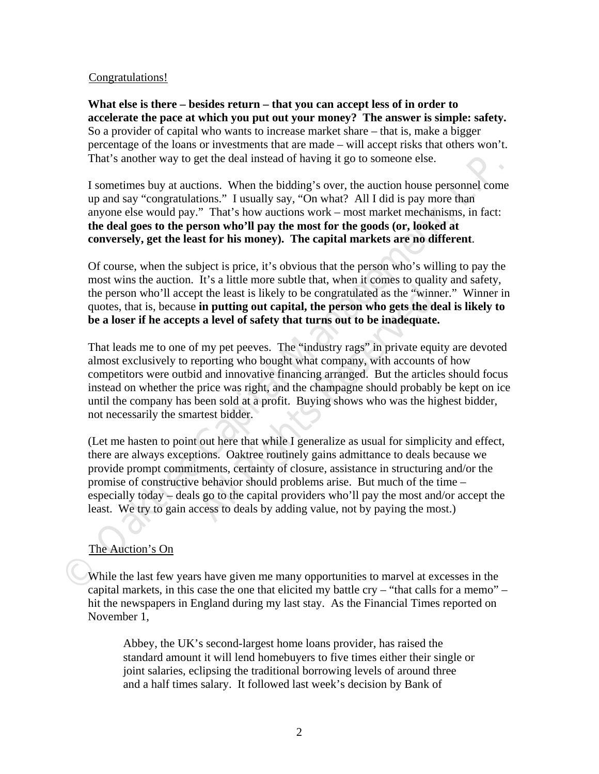## Congratulations!

**What else is there – besides return – that you can accept less of in order to accelerate the pace at which you put out your money? The answer is simple: safety.** So a provider of capital who wants to increase market share – that is, make a bigger percentage of the loans or investments that are made – will accept risks that others won't. That's another way to get the deal instead of having it go to someone else.

I sometimes buy at auctions. When the bidding's over, the auction house personnel come up and say "congratulations." I usually say, "On what? All I did is pay more than anyone else would pay." That's how auctions work – most market mechanisms, in fact: **the deal goes to the person who'll pay the most for the goods (or, looked at conversely, get the least for his money). The capital markets are no different**.

Of course, when the subject is price, it's obvious that the person who's willing to pay the most wins the auction. It's a little more subtle that, when it comes to quality and safety, the person who'll accept the least is likely to be congratulated as the "winner." Winner in quotes, that is, because **in putting out capital, the person who gets the deal is likely to be a loser if he accepts a level of safety that turns out to be inadequate.** 

That's another way to get the deal instead of having it go to someone else.<br> **1** sometimes buy at auctions. When the bidding's over, the auction house personnel come<br>
up ad say "congraduations." I usually say, "On what? Al by the least is likely to be congratulated as the "winne<br>
in putting out capital, the person who gets the de<br> **All Rights Reserved** as the "winne<br>
in putting out capital, the person who gets the de<br> **All Rights Reserved**<br> That leads me to one of my pet peeves. The "industry rags" in private equity are devoted almost exclusively to reporting who bought what company, with accounts of how competitors were outbid and innovative financing arranged. But the articles should focus instead on whether the price was right, and the champagne should probably be kept on ice until the company has been sold at a profit. Buying shows who was the highest bidder, not necessarily the smartest bidder.

(Let me hasten to point out here that while I generalize as usual for simplicity and effect, there are always exceptions. Oaktree routinely gains admittance to deals because we provide prompt commitments, certainty of closure, assistance in structuring and/or the promise of constructive behavior should problems arise. But much of the time – especially today – deals go to the capital providers who'll pay the most and/or accept the least. We try to gain access to deals by adding value, not by paying the most.)

# The Auction's On

While the last few years have given me many opportunities to marvel at excesses in the capital markets, in this case the one that elicited my battle  $\text{cry}$  – "that calls for a memo" – hit the newspapers in England during my last stay. As the Financial Times reported on November 1,

Abbey, the UK's second-largest home loans provider, has raised the standard amount it will lend homebuyers to five times either their single or joint salaries, eclipsing the traditional borrowing levels of around three and a half times salary. It followed last week's decision by Bank of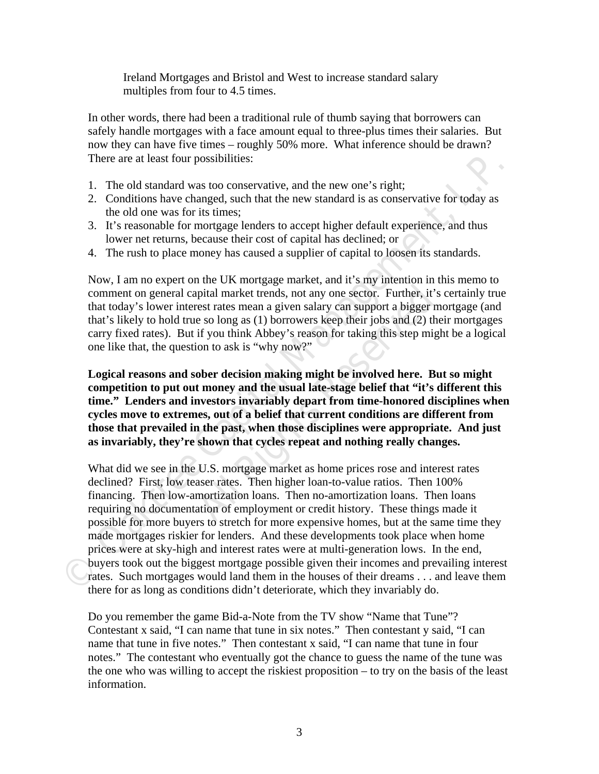Ireland Mortgages and Bristol and West to increase standard salary multiples from four to 4.5 times.

In other words, there had been a traditional rule of thumb saying that borrowers can safely handle mortgages with a face amount equal to three-plus times their salaries. But now they can have five times – roughly 50% more. What inference should be drawn? There are at least four possibilities:

- 1. The old standard was too conservative, and the new one's right;
- 2. Conditions have changed, such that the new standard is as conservative for today as the old one was for its times;
- 3. It's reasonable for mortgage lenders to accept higher default experience, and thus lower net returns, because their cost of capital has declined; or
- 4. The rush to place money has caused a supplier of capital to loosen its standards.

Now, I am no expert on the UK mortgage market, and it's my intention in this memo to comment on general capital market trends, not any one sector. Further, it's certainly true that today's lower interest rates mean a given salary can support a bigger mortgage (and that's likely to hold true so long as (1) borrowers keep their jobs and (2) their mortgages carry fixed rates). But if you think Abbey's reason for taking this step might be a logical one like that, the question to ask is "why now?"

positively marked trends, not any one sector. Further, it's<br>rest rates mean a given salary can support a bigger m<br>e so long as (1) borrowers keep their jobs and (2) the<br>if you think Abbey's reason for taking this step migl **Logical reasons and sober decision making might be involved here. But so might competition to put out money and the usual late-stage belief that "it's different this time." Lenders and investors invariably depart from time-honored disciplines when cycles move to extremes, out of a belief that current conditions are different from those that prevailed in the past, when those disciplines were appropriate. And just as invariably, they're shown that cycles repeat and nothing really changes.** 

There are at least four possibilities:<br>
1. The old standard was too conservative, and the new one's right;<br>
2. Conditions have changed, such that the new standard is as conservative for today as<br>
2. Conditions have changed What did we see in the U.S. mortgage market as home prices rose and interest rates declined? First, low teaser rates. Then higher loan-to-value ratios. Then 100% financing. Then low-amortization loans. Then no-amortization loans. Then loans requiring no documentation of employment or credit history. These things made it possible for more buyers to stretch for more expensive homes, but at the same time they made mortgages riskier for lenders. And these developments took place when home prices were at sky-high and interest rates were at multi-generation lows. In the end, buyers took out the biggest mortgage possible given their incomes and prevailing interest rates. Such mortgages would land them in the houses of their dreams . . . and leave them there for as long as conditions didn't deteriorate, which they invariably do.

Do you remember the game Bid-a-Note from the TV show "Name that Tune"? Contestant x said, "I can name that tune in six notes." Then contestant y said, "I can name that tune in five notes." Then contestant x said, "I can name that tune in four notes." The contestant who eventually got the chance to guess the name of the tune was the one who was willing to accept the riskiest proposition – to try on the basis of the least information.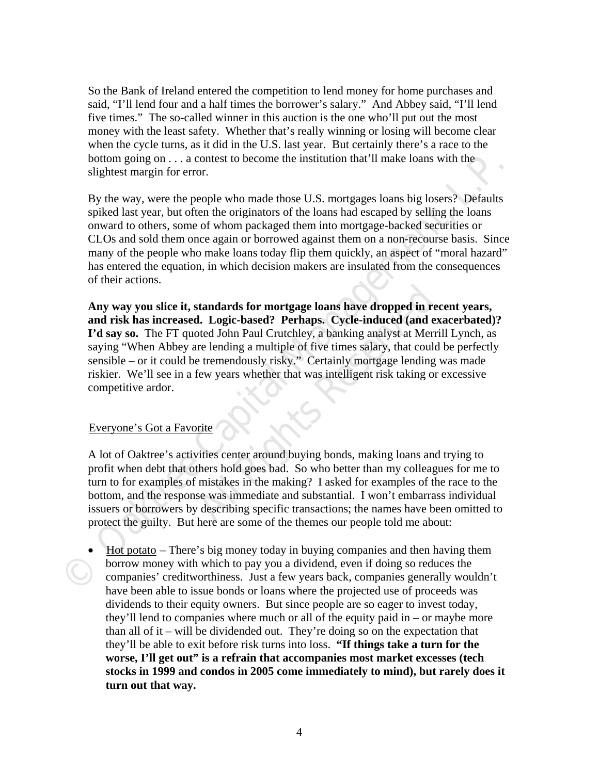So the Bank of Ireland entered the competition to lend money for home purchases and said, "I'll lend four and a half times the borrower's salary." And Abbey said, "I'll lend five times." The so-called winner in this auction is the one who'll put out the most money with the least safety. Whether that's really winning or losing will become clear when the cycle turns, as it did in the U.S. last year. But certainly there's a race to the bottom going on . . . a contest to become the institution that'll make loans with the slightest margin for error.

**bottom** going on ... a contest to become the institution that'll make loans with the slightest rargin for error. a contest to become the solution of Disk planets planets planets planets planets planets planets planets pla By the way, were the people who made those U.S. mortgages loans big losers? Defaults spiked last year, but often the originators of the loans had escaped by selling the loans onward to others, some of whom packaged them into mortgage-backed securities or CLOs and sold them once again or borrowed against them on a non-recourse basis. Since many of the people who make loans today flip them quickly, an aspect of "moral hazard" has entered the equation, in which decision makers are insulated from the consequences of their actions.

**Example 18 Set of Manufold School School School School School School School School School School School School School School School School School School School School School School School School School School School Schoo Any way you slice it, standards for mortgage loans have dropped in recent years, and risk has increased. Logic-based? Perhaps. Cycle-induced (and exacerbated)? I'd say so.** The FT quoted John Paul Crutchley, a banking analyst at Merrill Lynch, as saying "When Abbey are lending a multiple of five times salary, that could be perfectly sensible – or it could be tremendously risky." Certainly mortgage lending was made riskier. We'll see in a few years whether that was intelligent risk taking or excessive competitive ardor.

# Everyone's Got a Favorite

A lot of Oaktree's activities center around buying bonds, making loans and trying to profit when debt that others hold goes bad. So who better than my colleagues for me to turn to for examples of mistakes in the making? I asked for examples of the race to the bottom, and the response was immediate and substantial. I won't embarrass individual issuers or borrowers by describing specific transactions; the names have been omitted to protect the guilty. But here are some of the themes our people told me about:

Hot potato – There's big money today in buying companies and then having them borrow money with which to pay you a dividend, even if doing so reduces the companies' creditworthiness. Just a few years back, companies generally wouldn't have been able to issue bonds or loans where the projected use of proceeds was dividends to their equity owners. But since people are so eager to invest today, they'll lend to companies where much or all of the equity paid in – or maybe more than all of it – will be dividended out. They're doing so on the expectation that they'll be able to exit before risk turns into loss. **"If things take a turn for the worse, I'll get out" is a refrain that accompanies most market excesses (tech stocks in 1999 and condos in 2005 come immediately to mind), but rarely does it turn out that way.**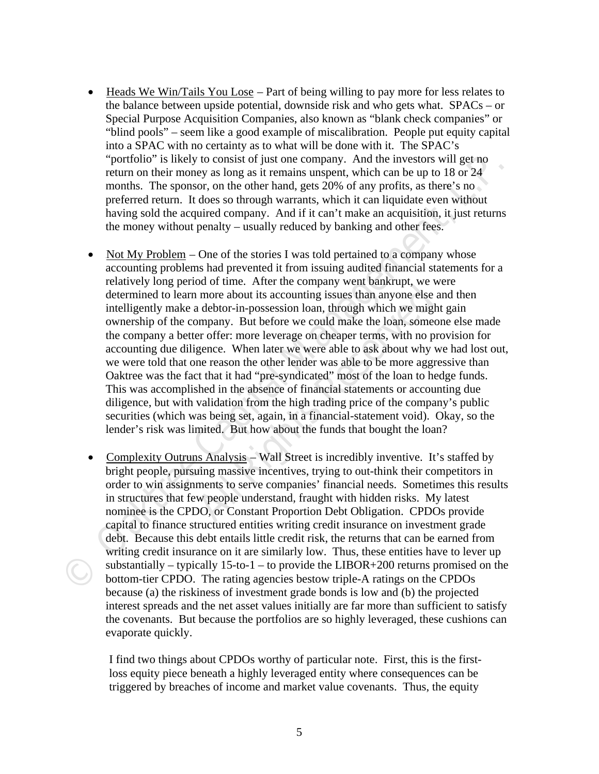- $\bullet$  Heads We Win/Tails You Lose Part of being willing to pay more for less relates to the balance between upside potential, downside risk and who gets what. SPACs – or Special Purpose Acquisition Companies, also known as "blank check companies" or "blind pools" – seem like a good example of miscalibration. People put equity capital into a SPAC with no certainty as to what will be done with it. The SPAC's "portfolio" is likely to consist of just one company. And the investors will get no return on their money as long as it remains unspent, which can be up to 18 or 24 months. The sponsor, on the other hand, gets 20% of any profits, as there's no preferred return. It does so through warrants, which it can liquidate even without having sold the acquired company. And if it can't make an acquisition, it just returns the money without penalty – usually reduced by banking and other fees.
- "portfolio" is likely to consist of just one company. And the investors will get no<br>venturn on their money as long as it remains unspent, which can be up to 18 or 24<br>months. The sponsor, on the other hand, gets 20% of any of or time. There are company went bankrupt, we we<br>a more about its accounting issues than anyone else a<br>a debtor-in-possession loan, through which we might<br>ompany. But before we could make the loan, someon<br>er offer: more Not My Problem – One of the stories I was told pertained to a company whose accounting problems had prevented it from issuing audited financial statements for a relatively long period of time. After the company went bankrupt, we were determined to learn more about its accounting issues than anyone else and then intelligently make a debtor-in-possession loan, through which we might gain ownership of the company. But before we could make the loan, someone else made the company a better offer: more leverage on cheaper terms, with no provision for accounting due diligence. When later we were able to ask about why we had lost out, we were told that one reason the other lender was able to be more aggressive than Oaktree was the fact that it had "pre-syndicated" most of the loan to hedge funds. This was accomplished in the absence of financial statements or accounting due diligence, but with validation from the high trading price of the company's public securities (which was being set, again, in a financial-statement void). Okay, so the lender's risk was limited. But how about the funds that bought the loan?
	- Complexity Outruns Analysis Wall Street is incredibly inventive. It's staffed by bright people, pursuing massive incentives, trying to out-think their competitors in order to win assignments to serve companies' financial needs. Sometimes this results in structures that few people understand, fraught with hidden risks. My latest nominee is the CPDO, or Constant Proportion Debt Obligation. CPDOs provide capital to finance structured entities writing credit insurance on investment grade debt. Because this debt entails little credit risk, the returns that can be earned from writing credit insurance on it are similarly low. Thus, these entities have to lever up substantially – typically  $15$ -to-1 – to provide the LIBOR+200 returns promised on the bottom-tier CPDO. The rating agencies bestow triple-A ratings on the CPDOs because (a) the riskiness of investment grade bonds is low and (b) the projected interest spreads and the net asset values initially are far more than sufficient to satisfy the covenants. But because the portfolios are so highly leveraged, these cushions can evaporate quickly.

I find two things about CPDOs worthy of particular note. First, this is the firstloss equity piece beneath a highly leveraged entity where consequences can be triggered by breaches of income and market value covenants. Thus, the equity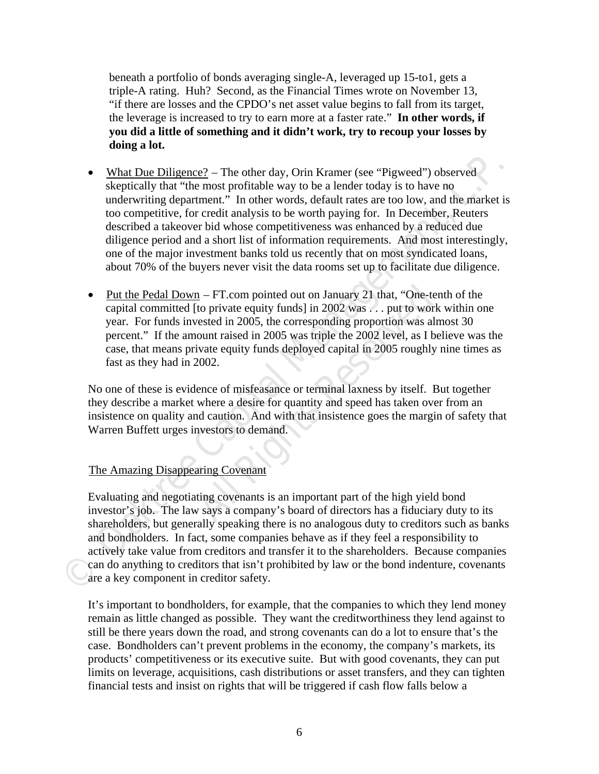beneath a portfolio of bonds averaging single-A, leveraged up 15-to1, gets a triple-A rating. Huh? Second, as the Financial Times wrote on November 13, "if there are losses and the CPDO's net asset value begins to fall from its target, the leverage is increased to try to earn more at a faster rate." **In other words, if you did a little of something and it didn't work, try to recoup your losses by doing a lot.** 

- **What Due Diligence**? The other day, Orin Kramer (see "Pigweed") observed<br>skeptically that "the most profitable way to be a lender today is to have no<br>underwitting deparament." In other words, default rates are too lo What Due Diligence? – The other day, Orin Kramer (see "Pigweed") observed skeptically that "the most profitable way to be a lender today is to have no underwriting department." In other words, default rates are too low, and the market is too competitive, for credit analysis to be worth paying for. In December, Reuters described a takeover bid whose competitiveness was enhanced by a reduced due diligence period and a short list of information requirements. And most interestingly, one of the major investment banks told us recently that on most syndicated loans, about 70% of the buyers never visit the data rooms set up to facilitate due diligence.
	- $\underline{n}$  FT.com pointed out on January 21 that, "One-tento private equity funds] in 2002 was ... put to work vested in 2005, the corresponding proportion was alm ount raised in 2005 was triple the 2002 level, as I be iva Put the Pedal Down – FT.com pointed out on January 21 that, "One-tenth of the capital committed [to private equity funds] in 2002 was . . . put to work within one year. For funds invested in 2005, the corresponding proportion was almost 30 percent." If the amount raised in 2005 was triple the 2002 level, as I believe was the case, that means private equity funds deployed capital in 2005 roughly nine times as fast as they had in 2002.

No one of these is evidence of misfeasance or terminal laxness by itself. But together they describe a market where a desire for quantity and speed has taken over from an insistence on quality and caution. And with that insistence goes the margin of safety that Warren Buffett urges investors to demand.

### The Amazing Disappearing Covenant

Evaluating and negotiating covenants is an important part of the high yield bond investor's job. The law says a company's board of directors has a fiduciary duty to its shareholders, but generally speaking there is no analogous duty to creditors such as banks and bondholders. In fact, some companies behave as if they feel a responsibility to actively take value from creditors and transfer it to the shareholders. Because companies can do anything to creditors that isn't prohibited by law or the bond indenture, covenants are a key component in creditor safety.

It's important to bondholders, for example, that the companies to which they lend money remain as little changed as possible. They want the creditworthiness they lend against to still be there years down the road, and strong covenants can do a lot to ensure that's the case. Bondholders can't prevent problems in the economy, the company's markets, its products' competitiveness or its executive suite. But with good covenants, they can put limits on leverage, acquisitions, cash distributions or asset transfers, and they can tighten financial tests and insist on rights that will be triggered if cash flow falls below a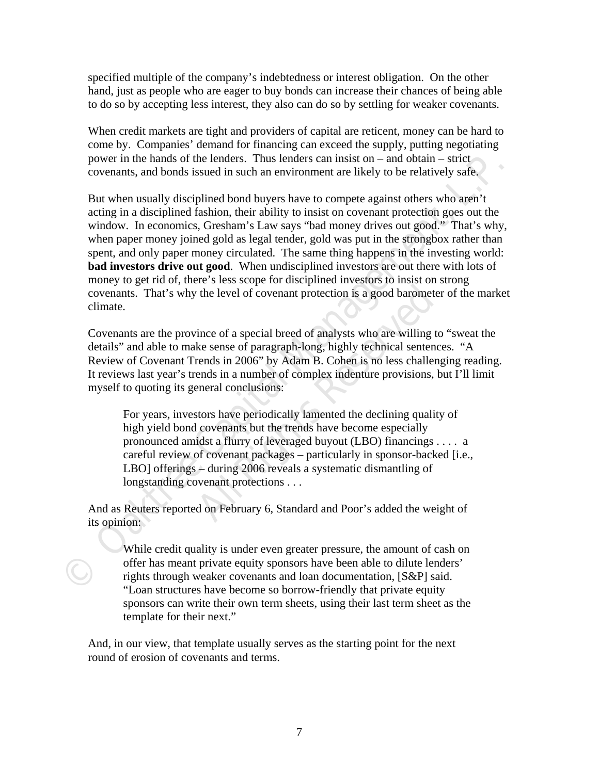specified multiple of the company's indebtedness or interest obligation. On the other hand, just as people who are eager to buy bonds can increase their chances of being able to do so by accepting less interest, they also can do so by settling for weaker covenants.

When credit markets are tight and providers of capital are reticent, money can be hard to come by. Companies' demand for financing can exceed the supply, putting negotiating power in the hands of the lenders. Thus lenders can insist on – and obtain – strict covenants, and bonds issued in such an environment are likely to be relatively safe.

power in the hands of the lenders. Thus lenders can insist on – and obtain – strict<br>coverants, and bonds issued in such an environment are likely to be relatively safe.<br>But when usually disciplined band bon environment are But when usually disciplined bond buyers have to compete against others who aren't acting in a disciplined fashion, their ability to insist on covenant protection goes out the window. In economics, Gresham's Law says "bad money drives out good." That's why, when paper money joined gold as legal tender, gold was put in the strongbox rather than spent, and only paper money circulated. The same thing happens in the investing world: **bad investors drive out good**. When undisciplined investors are out there with lots of money to get rid of, there's less scope for disciplined investors to insist on strong covenants. That's why the level of covenant protection is a good barometer of the market climate.

Covenants are the province of a special breed of analysts who are willing to "sweat the details" and able to make sense of paragraph-long, highly technical sentences. "A Review of Covenant Trends in 2006" by Adam B. Cohen is no less challenging reading. It reviews last year's trends in a number of complex indenture provisions, but I'll limit myself to quoting its general conclusions:

The level of covenant protection is a good barometer<br>the level of covenant protection is a good barometer<br>ince of a special breed of analysts who are willing to<br>ke sense of paragraph-long, highly technical sentenc<br>rends in For years, investors have periodically lamented the declining quality of high yield bond covenants but the trends have become especially pronounced amidst a flurry of leveraged buyout (LBO) financings . . . . a careful review of covenant packages – particularly in sponsor-backed [i.e., LBO] offerings – during 2006 reveals a systematic dismantling of longstanding covenant protections . . .

And as Reuters reported on February 6, Standard and Poor's added the weight of its opinion:

While credit quality is under even greater pressure, the amount of cash on offer has meant private equity sponsors have been able to dilute lenders' rights through weaker covenants and loan documentation, [S&P] said. "Loan structures have become so borrow-friendly that private equity sponsors can write their own term sheets, using their last term sheet as the template for their next."

And, in our view, that template usually serves as the starting point for the next round of erosion of covenants and terms.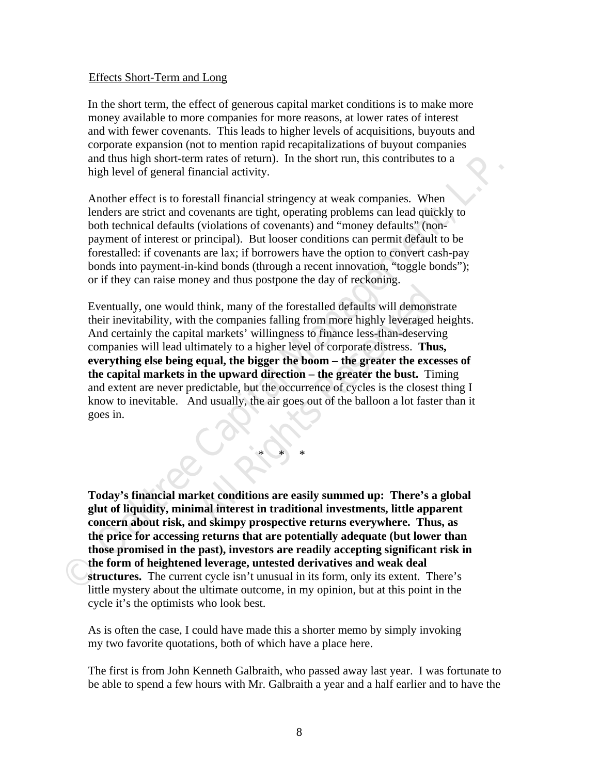### Effects Short-Term and Long

In the short term, the effect of generous capital market conditions is to make more money available to more companies for more reasons, at lower rates of interest and with fewer covenants. This leads to higher levels of acquisitions, buyouts and corporate expansion (not to mention rapid recapitalizations of buyout companies and thus high short-term rates of return). In the short run, this contributes to a high level of general financial activity.

Another effect is to forestall financial stringency at weak companies. When lenders are strict and covenants are tight, operating problems can lead quickly to both technical defaults (violations of covenants) and "money defaults" (nonpayment of interest or principal). But looser conditions can permit default to be forestalled: if covenants are lax; if borrowers have the option to convert cash-pay bonds into payment-in-kind bonds (through a recent innovation, "toggle bonds"); or if they can raise money and thus postpone the day of reckoning.

and thus high short-term rates of return). In the short run, this contributes to a<br>high level of general financial activity.<br>Another effect is to forestall financial stringency at weak companies. When<br>lenders are stirt and think, many of the forestalled defaults will demonst<br>the companies falling from more highly leveraged hal markets' willingness to finance less-than-deservine<br>limately to a higher level of corporate distress. **Thus**<br>**equal,** Eventually, one would think, many of the forestalled defaults will demonstrate their inevitability, with the companies falling from more highly leveraged heights. And certainly the capital markets' willingness to finance less-than-deserving companies will lead ultimately to a higher level of corporate distress. **Thus, everything else being equal, the bigger the boom – the greater the excesses of the capital markets in the upward direction – the greater the bust.** Timing and extent are never predictable, but the occurrence of cycles is the closest thing I know to inevitable. And usually, the air goes out of the balloon a lot faster than it goes in.

\* \* \*

**Today's financial market conditions are easily summed up: There's a global glut of liquidity, minimal interest in traditional investments, little apparent concern about risk, and skimpy prospective returns everywhere. Thus, as the price for accessing returns that are potentially adequate (but lower than those promised in the past), investors are readily accepting significant risk in the form of heightened leverage, untested derivatives and weak deal structures.** The current cycle isn't unusual in its form, only its extent. There's little mystery about the ultimate outcome, in my opinion, but at this point in the cycle it's the optimists who look best.

As is often the case, I could have made this a shorter memo by simply invoking my two favorite quotations, both of which have a place here.

The first is from John Kenneth Galbraith, who passed away last year. I was fortunate to be able to spend a few hours with Mr. Galbraith a year and a half earlier and to have the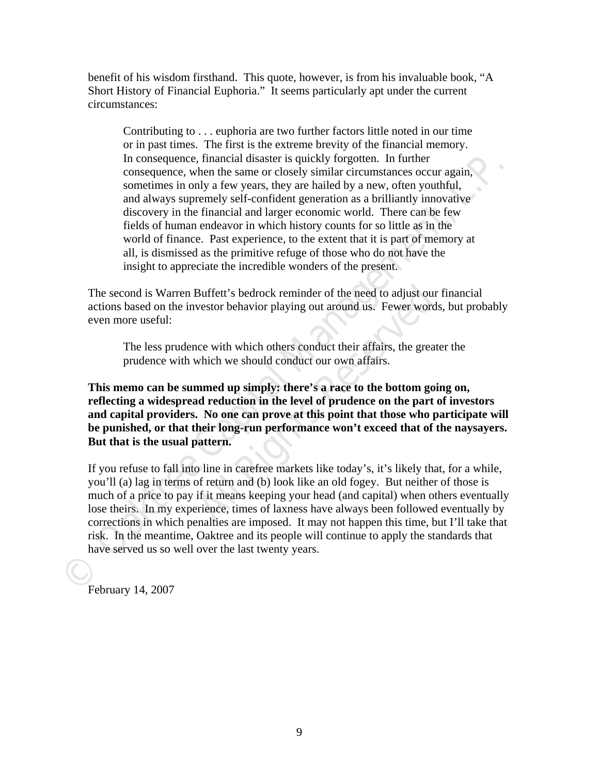benefit of his wisdom firsthand. This quote, however, is from his invaluable book, "A Short History of Financial Euphoria." It seems particularly apt under the current circumstances:

In consequence, financial disaster is quickly forgotten. In further<br>consequence, when the same or closely similar circumstances occur again,<br>sometimes in only a few years, they are hailed by a new, often youthful,<br>and alwa Contributing to . . . euphoria are two further factors little noted in our time or in past times. The first is the extreme brevity of the financial memory. In consequence, financial disaster is quickly forgotten. In further consequence, when the same or closely similar circumstances occur again, sometimes in only a few years, they are hailed by a new, often youthful, and always supremely self-confident generation as a brilliantly innovative discovery in the financial and larger economic world. There can be few fields of human endeavor in which history counts for so little as in the world of finance. Past experience, to the extent that it is part of memory at all, is dismissed as the primitive refuge of those who do not have the insight to appreciate the incredible wonders of the present.

The second is Warren Buffett's bedrock reminder of the need to adjust our financial actions based on the investor behavior playing out around us. Fewer words, but probably even more useful:

The less prudence with which others conduct their affairs, the greater the prudence with which we should conduct our own affairs.

Buffett's bedrock reminder of the need to adjust our<br>vestor behavior playing out around us. Fewer words<br>nee with which others conduct their affairs, the greate<br>which we should conduct our own affairs.<br>**nmed up simply: ther This memo can be summed up simply: there's a race to the bottom going on, reflecting a widespread reduction in the level of prudence on the part of investors and capital providers. No one can prove at this point that those who participate will be punished, or that their long-run performance won't exceed that of the naysayers. But that is the usual pattern.** 

If you refuse to fall into line in carefree markets like today's, it's likely that, for a while, you'll (a) lag in terms of return and (b) look like an old fogey. But neither of those is much of a price to pay if it means keeping your head (and capital) when others eventually lose theirs. In my experience, times of laxness have always been followed eventually by corrections in which penalties are imposed. It may not happen this time, but I'll take that risk. In the meantime, Oaktree and its people will continue to apply the standards that have served us so well over the last twenty years.

February 14, 2007